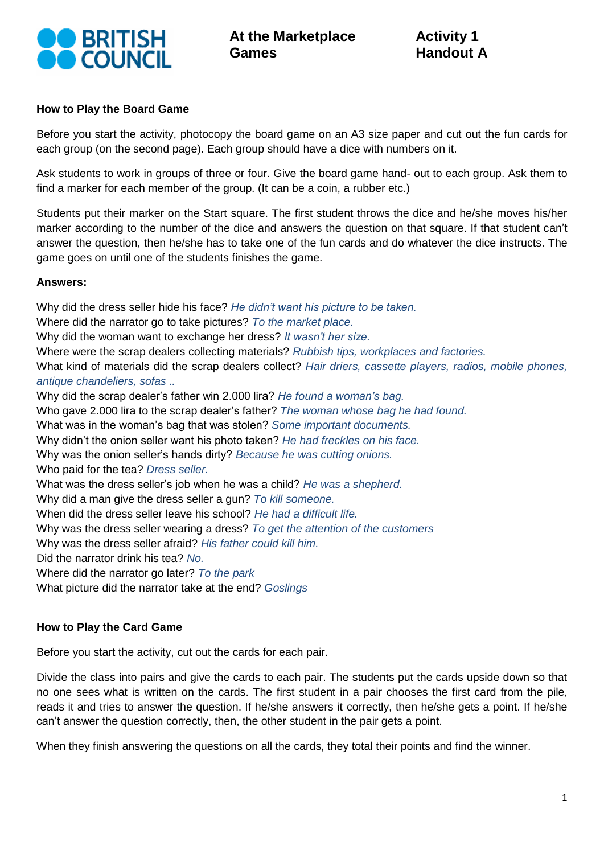

## **How to Play the Board Game**

Before you start the activity, photocopy the board game on an A3 size paper and cut out the fun cards for each group (on the second page). Each group should have a dice with numbers on it.

Ask students to work in groups of three or four. Give the board game hand- out to each group. Ask them to find a marker for each member of the group. (It can be a coin, a rubber etc.)

Students put their marker on the Start square. The first student throws the dice and he/she moves his/her marker according to the number of the dice and answers the question on that square. If that student can't answer the question, then he/she has to take one of the fun cards and do whatever the dice instructs. The game goes on until one of the students finishes the game.

## **Answers:**

Why did the dress seller hide his face? *He didn't want his picture to be taken.* Where did the narrator go to take pictures? *To the market place.* Why did the woman want to exchange her dress? *It wasn't her size.* Where were the scrap dealers collecting materials? *Rubbish tips, workplaces and factories.* What kind of materials did the scrap dealers collect? *Hair driers, cassette players, radios, mobile phones, antique [chandeliers](http://tureng.com/search/chandelier), sofas ..* Why did the scrap dealer's father win 2.000 lira? *He found a woman's bag.* Who gave 2.000 lira to the scrap dealer's father? *The woman whose bag he had found.* What was in the woman's bag that was stolen? *Some important documents.* Why didn't the onion seller want his photo taken? *He had freckles on his face.* Why was the onion seller's hands dirty? *Because he was cutting onions.* Who paid for the tea? *Dress seller.* What was the dress seller's job when he was a child? *He was a shepherd.* Why did a man give the dress seller a gun? *To kill someone.* When did the dress seller leave his school? *He had a difficult life.* Why was the dress seller wearing a dress? *To get the attention of the customers* Why was the dress seller afraid? *His father could kill him.* Did the narrator drink his tea? *No.* Where did the narrator go later? *To the park* What picture did the narrator take at the end? *Goslings* 

## **How to Play the Card Game**

Before you start the activity, cut out the cards for each pair.

Divide the class into pairs and give the cards to each pair. The students put the cards upside down so that no one sees what is written on the cards. The first student in a pair chooses the first card from the pile, reads it and tries to answer the question. If he/she answers it correctly, then he/she gets a point. If he/she can't answer the question correctly, then, the other student in the pair gets a point.

When they finish answering the questions on all the cards, they total their points and find the winner.